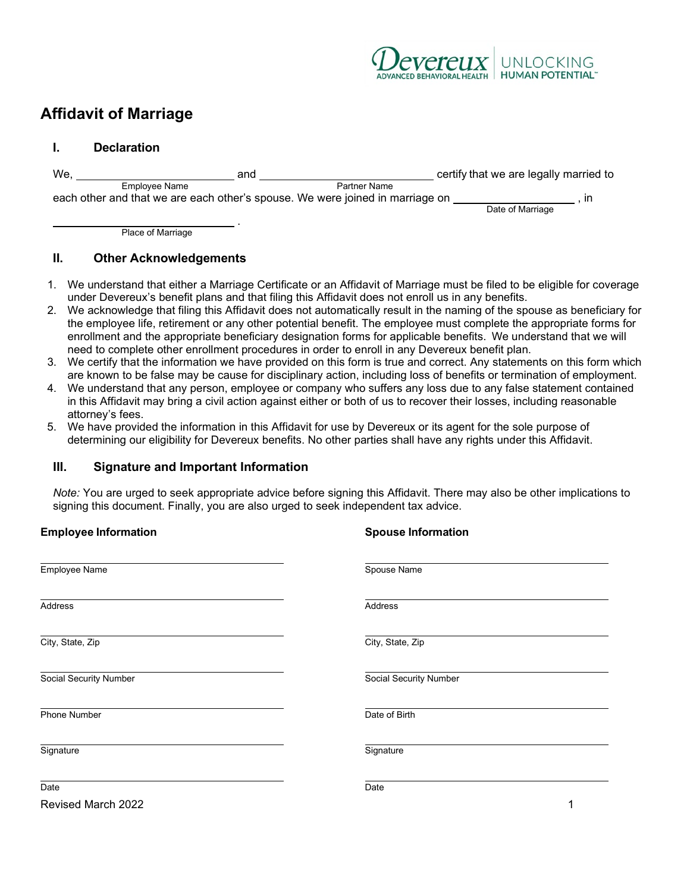

## **Affidavit of Marriage**

## **I. Declaration**

| We,                                                                           |               | and          | certify that we are legally married to |    |
|-------------------------------------------------------------------------------|---------------|--------------|----------------------------------------|----|
|                                                                               | Emplovee Name | Partner Name |                                        |    |
| each other and that we are each other's spouse. We were joined in marriage on |               |              |                                        | ın |
|                                                                               |               |              | Date of Marriage                       |    |

 . Place of Marriage

## **II. Other Acknowledgements**

- 1. We understand that either a Marriage Certificate or an Affidavit of Marriage must be filed to be eligible for coverage under Devereux's benefit plans and that filing this Affidavit does not enroll us in any benefits.
- 2. We acknowledge that filing this Affidavit does not automatically result in the naming of the spouse as beneficiary for the employee life, retirement or any other potential benefit. The employee must complete the appropriate forms for enrollment and the appropriate beneficiary designation forms for applicable benefits. We understand that we will need to complete other enrollment procedures in order to enroll in any Devereux benefit plan.
- 3. We certify that the information we have provided on this form is true and correct. Any statements on this form which are known to be false may be cause for disciplinary action, including loss of benefits or termination of employment.
- 4. We understand that any person, employee or company who suffers any loss due to any false statement contained in this Affidavit may bring a civil action against either or both of us to recover their losses, including reasonable attorney's fees.
- 5. We have provided the information in this Affidavit for use by Devereux or its agent for the sole purpose of determining our eligibility for Devereux benefits. No other parties shall have any rights under this Affidavit.

**Employee Information Spouse Information**

## **III. Signature and Important Information**

*Note:* You are urged to seek appropriate advice before signing this Affidavit. There may also be other implications to signing this document. Finally, you are also urged to seek independent tax advice.

| Employee Name                 | Spouse Name                   |
|-------------------------------|-------------------------------|
| Address                       | Address                       |
| City, State, Zip              | City, State, Zip              |
| <b>Social Security Number</b> | <b>Social Security Number</b> |
| <b>Phone Number</b>           | Date of Birth                 |
| Signature                     | Signature                     |
| Date                          | Date                          |
| Revised March 2022            |                               |